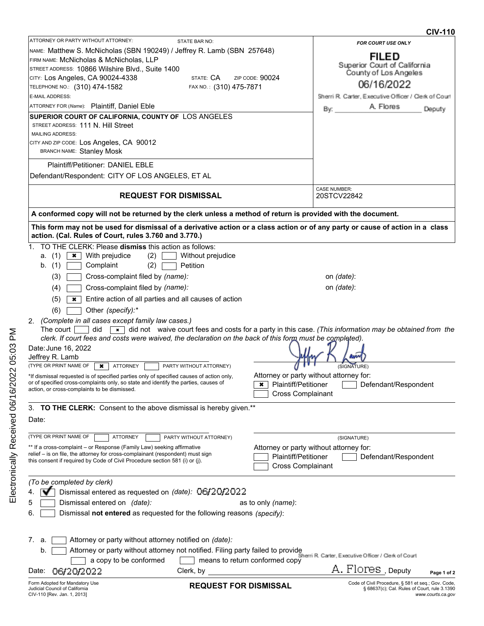|                                                                                                                                                                                         |                                |                                           |                                                                                                                              | UIV-I IV          |
|-----------------------------------------------------------------------------------------------------------------------------------------------------------------------------------------|--------------------------------|-------------------------------------------|------------------------------------------------------------------------------------------------------------------------------|-------------------|
| ATTORNEY OR PARTY WITHOUT ATTORNEY:                                                                                                                                                     | <b>STATE BAR NO:</b>           |                                           | FOR COURT USE ONLY                                                                                                           |                   |
| NAME: Matthew S. McNicholas (SBN 190249) / Jeffrey R. Lamb (SBN 257648)                                                                                                                 |                                |                                           | <b>FILED</b>                                                                                                                 |                   |
| FIRM NAME: McNicholas & McNicholas, LLP                                                                                                                                                 |                                |                                           | Superior Court of California                                                                                                 |                   |
| STREET ADDRESS: 10866 Wilshire Blvd., Suite 1400                                                                                                                                        |                                |                                           | County of Los Angeles                                                                                                        |                   |
| CITY: Los Angeles, CA 90024-4338                                                                                                                                                        | STATE: CA                      | ZIP CODE: 90024                           | 06/16/2022                                                                                                                   |                   |
| TELEPHONE NO.: (310) 474-1582                                                                                                                                                           | FAX NO.: (310) 475-7871        |                                           |                                                                                                                              |                   |
| E-MAIL ADDRESS:                                                                                                                                                                         |                                |                                           | Sherri R. Carter, Executive Officer / Clerk of Court                                                                         |                   |
| ATTORNEY FOR (Name): Plaintiff, Daniel Eble                                                                                                                                             |                                |                                           | A. Flores<br>By:                                                                                                             | Deputy            |
| SUPERIOR COURT OF CALIFORNIA, COUNTY OF LOS ANGELES<br>STREET ADDRESS: 111 N. Hill Street                                                                                               |                                |                                           |                                                                                                                              |                   |
| <b>MAILING ADDRESS:</b>                                                                                                                                                                 |                                |                                           |                                                                                                                              |                   |
| CITY AND ZIP CODE: Los Angeles, CA 90012                                                                                                                                                |                                |                                           |                                                                                                                              |                   |
| <b>BRANCH NAME: Stanley Mosk</b>                                                                                                                                                        |                                |                                           |                                                                                                                              |                   |
| <b>Plaintiff/Petitioner: DANIEL EBLE</b>                                                                                                                                                |                                |                                           |                                                                                                                              |                   |
|                                                                                                                                                                                         |                                |                                           |                                                                                                                              |                   |
| Defendant/Respondent: CITY OF LOS ANGELES, ET AL                                                                                                                                        |                                |                                           |                                                                                                                              |                   |
| <b>REQUEST FOR DISMISSAL</b>                                                                                                                                                            |                                |                                           | <b>CASE NUMBER:</b><br>20STCV22842                                                                                           |                   |
| A conformed copy will not be returned by the clerk unless a method of return is provided with the document.                                                                             |                                |                                           |                                                                                                                              |                   |
|                                                                                                                                                                                         |                                |                                           |                                                                                                                              |                   |
| This form may not be used for dismissal of a derivative action or a class action or of any party or cause of action in a class<br>action. (Cal. Rules of Court, rules 3.760 and 3.770.) |                                |                                           |                                                                                                                              |                   |
| 1. TO THE CLERK: Please dismiss this action as follows:                                                                                                                                 |                                |                                           |                                                                                                                              |                   |
| (1)<br>$\star$   With prejudice<br>(2)<br>a.                                                                                                                                            | Without prejudice              |                                           |                                                                                                                              |                   |
|                                                                                                                                                                                         |                                |                                           |                                                                                                                              |                   |
| b. $(1)$<br>Complaint<br>(2)                                                                                                                                                            | Petition                       |                                           |                                                                                                                              |                   |
| (3)<br>Cross-complaint filed by (name):                                                                                                                                                 |                                |                                           | on <i>(date)</i> :                                                                                                           |                   |
| (4)<br>Cross-complaint filed by (name):                                                                                                                                                 |                                |                                           | on (date):                                                                                                                   |                   |
| (5)<br>Entire action of all parties and all causes of action<br>$\boldsymbol{\mathsf{x}}$                                                                                               |                                |                                           |                                                                                                                              |                   |
| Other (specify):*<br>(6)                                                                                                                                                                |                                |                                           |                                                                                                                              |                   |
| 2. (Complete in all cases except family law cases.)                                                                                                                                     |                                |                                           |                                                                                                                              |                   |
| The court I<br>did                                                                                                                                                                      |                                |                                           | $\overline{\bullet}$ did not waive court fees and costs for a party in this case. (This information may be obtained from the |                   |
| clerk. If court fees and costs were waived, the declaration on the back of this form must be completed).                                                                                |                                |                                           |                                                                                                                              |                   |
| Date: June 16, 2022                                                                                                                                                                     |                                |                                           |                                                                                                                              |                   |
| Jeffrey R. Lamb                                                                                                                                                                         |                                |                                           |                                                                                                                              |                   |
| (TYPE OR PRINT NAME OF<br><b>ATTORNEY</b><br>$\boldsymbol{\ast}$                                                                                                                        | PARTY WITHOUT ATTORNEY)        |                                           | (SIGNATURE)                                                                                                                  |                   |
| *If dismissal requested is of specified parties only of specified causes of action only,                                                                                                |                                | Attorney or party without attorney for:   |                                                                                                                              |                   |
| or of specified cross-complaints only, so state and identify the parties, causes of                                                                                                     |                                | $\overline{\bullet}$ Plaintiff/Petitioner | Defendant/Respondent                                                                                                         |                   |
| action, or cross-complaints to be dismissed.                                                                                                                                            |                                | <b>Cross Complainant</b>                  |                                                                                                                              |                   |
|                                                                                                                                                                                         |                                |                                           |                                                                                                                              |                   |
| 3. TO THE CLERK: Consent to the above dismissal is hereby given.**                                                                                                                      |                                |                                           |                                                                                                                              |                   |
| Date:                                                                                                                                                                                   |                                |                                           |                                                                                                                              |                   |
|                                                                                                                                                                                         |                                |                                           |                                                                                                                              |                   |
| (TYPE OR PRINT NAME OF<br><b>ATTORNEY</b>                                                                                                                                               | PARTY WITHOUT ATTORNEY)        |                                           | (SIGNATURE)                                                                                                                  |                   |
| ** If a cross-complaint – or Response (Family Law) seeking affirmative<br>relief – is on file, the attorney for cross-complainant (respondent) must sign                                |                                | Attorney or party without attorney for:   |                                                                                                                              |                   |
| this consent if required by Code of Civil Procedure section 581 (i) or (j).                                                                                                             |                                | Plaintiff/Petitioner                      | Defendant/Respondent                                                                                                         |                   |
|                                                                                                                                                                                         |                                | <b>Cross Complainant</b>                  |                                                                                                                              |                   |
| (To be completed by clerk)                                                                                                                                                              |                                |                                           |                                                                                                                              |                   |
| Dismissal entered as requested on (date): 06/20/2022                                                                                                                                    |                                |                                           |                                                                                                                              |                   |
|                                                                                                                                                                                         |                                |                                           |                                                                                                                              |                   |
| Dismissal entered on (date):                                                                                                                                                            |                                | as to only <i>(name)</i> :                |                                                                                                                              |                   |
| Dismissal not entered as requested for the following reasons (specify):<br>6.                                                                                                           |                                |                                           |                                                                                                                              |                   |
|                                                                                                                                                                                         |                                |                                           |                                                                                                                              |                   |
| Attorney or party without attorney notified on (date):<br>7.<br>a                                                                                                                       |                                |                                           |                                                                                                                              |                   |
| Attorney or party without attorney not notified. Filing party failed to provide<br>b.                                                                                                   |                                |                                           |                                                                                                                              |                   |
| a copy to be conformed                                                                                                                                                                  | means to return conformed copy |                                           | Sherri R. Carter, Executive Officer / Clerk of Court                                                                         |                   |
|                                                                                                                                                                                         | Clerk, by                      |                                           | A. Flores, <sub>Deputy</sub>                                                                                                 |                   |
| 06/20/2022<br>Date:                                                                                                                                                                     |                                |                                           |                                                                                                                              | Page 1 of 2       |
| Form Adopted for Mandatory Use<br>Judicial Council of California<br>CIV-110 [Rev. Jan. 1, 2013]                                                                                         | <b>REQUEST FOR DISMISSAL</b>   |                                           | Code of Civil Procedure, § 581 et seq.; Gov. Code,<br>§ 68637(c); Cal. Rules of Court, rule 3.1390                           | www.courts.ca.gov |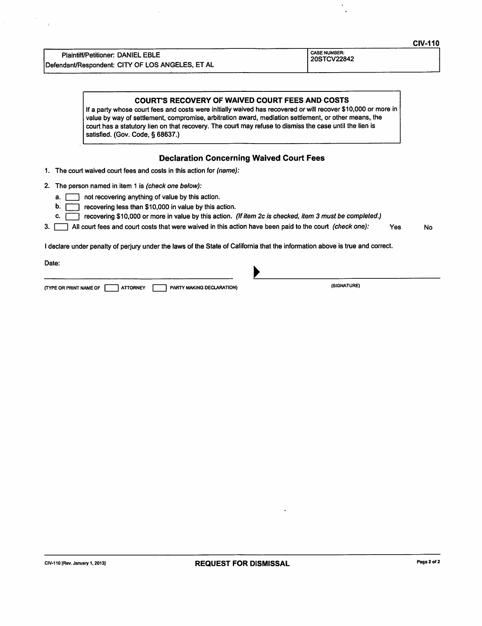**Plaintiff/Petitioner: DANIEL EBLE** Defendant/Respondent: CITY OF LOS ANGELES, ET AL CASE NUMBER: 20STCV22842

## **COURT'S RECOVERY OF WAIVED COURT FEES AND COSTS**

If a party whose court fees and costs were initially waived has recovered or will recover \$10,000 or more in value by way of settlement, compromise, arbitration award, mediation settlement, or other means, the court has a statutory lien on that recovery. The court may refuse to dismiss the case until the lien is satisfied. (Gov. Code, § 68637.)

## **Declaration Concerning Waived Court Fees**

1. The court waived court fees and costs in this action for (name):

- 2. The person named in item 1 is (check one below):
	- $\overline{a}$ .  $\overline{a}$  not recovering anything of value by this action.
	- b. recovering less than \$10,000 in value by this action.
	- recovering \$10,000 or more in value by this action. (If item 2c is checked, item 3 must be completed.) c.  $\Gamma$
- 3. All court fees and court costs that were waived in this action have been paid to the court (check one): Yes No

I declare under penalty of perjury under the laws of the State of California that the information above is true and correct.

Date:

| (TYPE OR PRINT NAME OF |  | <b>ATTORNEY</b> |  | PARTY MAKING DECLARATION) |
|------------------------|--|-----------------|--|---------------------------|
|------------------------|--|-----------------|--|---------------------------|

(SIGNATURE)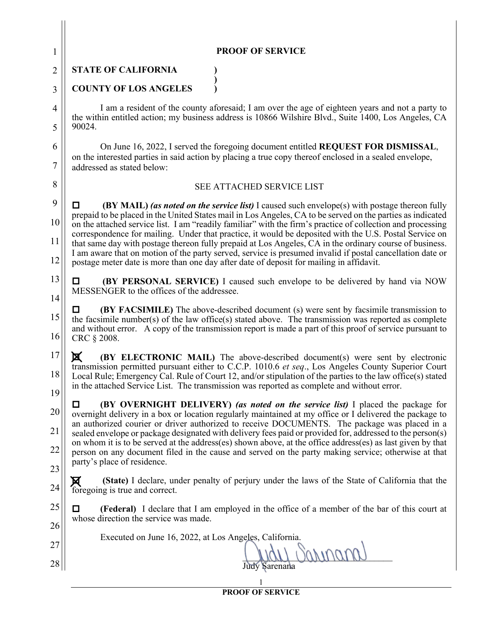| $\mathbf{1}$   | <b>PROOF OF SERVICE</b>                                                                                                                                                                                                                                                                                                             |  |  |  |  |
|----------------|-------------------------------------------------------------------------------------------------------------------------------------------------------------------------------------------------------------------------------------------------------------------------------------------------------------------------------------|--|--|--|--|
| $\overline{2}$ | <b>STATE OF CALIFORNIA</b>                                                                                                                                                                                                                                                                                                          |  |  |  |  |
| 3              | <b>COUNTY OF LOS ANGELES</b>                                                                                                                                                                                                                                                                                                        |  |  |  |  |
| 4              | I am a resident of the county aforesaid; I am over the age of eighteen years and not a party to<br>the within entitled action; my business address is 10866 Wilshire Blvd., Suite 1400, Los Angeles, CA<br>90024.                                                                                                                   |  |  |  |  |
| 5              |                                                                                                                                                                                                                                                                                                                                     |  |  |  |  |
| 6              | On June 16, 2022, I served the foregoing document entitled REQUEST FOR DISMISSAL,                                                                                                                                                                                                                                                   |  |  |  |  |
| $\tau$         | on the interested parties in said action by placing a true copy thereof enclosed in a sealed envelope,<br>addressed as stated below:                                                                                                                                                                                                |  |  |  |  |
| 8              | SEE ATTACHED SERVICE LIST                                                                                                                                                                                                                                                                                                           |  |  |  |  |
| 9              | <b>(BY MAIL)</b> (as noted on the service list) I caused such envelope(s) with postage thereon fully                                                                                                                                                                                                                                |  |  |  |  |
| 10             | prepaid to be placed in the United States mail in Los Angeles, CA to be served on the parties as indicated<br>on the attached service list. I am "readily familiar" with the firm's practice of collection and processing<br>correspondence for mailing. Under that practice, it would be deposited with the U.S. Postal Service on |  |  |  |  |
| 11             | that same day with postage thereon fully prepaid at Los Angeles, CA in the ordinary course of business.<br>I am aware that on motion of the party served, service is presumed invalid if postal cancellation date or                                                                                                                |  |  |  |  |
| 12             | postage meter date is more than one day after date of deposit for mailing in affidavit.                                                                                                                                                                                                                                             |  |  |  |  |
| 13             | (BY PERSONAL SERVICE) I caused such envelope to be delivered by hand via NOW<br>П<br>MESSENGER to the offices of the addressee.                                                                                                                                                                                                     |  |  |  |  |
| 14             | <b>(BY FACSIMILE)</b> The above-described document (s) were sent by facsimile transmission to                                                                                                                                                                                                                                       |  |  |  |  |
| 15             | the facsimile number(s) of the law office(s) stated above. The transmission was reported as complete<br>and without error. A copy of the transmission report is made a part of this proof of service pursuant to                                                                                                                    |  |  |  |  |
| 16             | CRC § 2008.                                                                                                                                                                                                                                                                                                                         |  |  |  |  |
| 17             | 区<br><b>(BY ELECTRONIC MAIL)</b> The above-described document(s) were sent by electronic<br>transmission permitted pursuant either to C.C.P. 1010.6 et seq., Los Angeles County Superior Court                                                                                                                                      |  |  |  |  |
| 18             | Local Rule; Emergency Cal. Rule of Court 12, and/or stipulation of the parties to the law office(s) stated<br>in the attached Service List. The transmission was reported as complete and without error.                                                                                                                            |  |  |  |  |
| 19             | <b>(BY OVERNIGHT DELIVERY)</b> (as noted on the service list) I placed the package for<br>□                                                                                                                                                                                                                                         |  |  |  |  |
| 20             | overnight delivery in a box or location regularly maintained at my office or I delivered the package to<br>an authorized courier or driver authorized to receive DOCUMENTS. The package was placed in a                                                                                                                             |  |  |  |  |
| 21             | sealed envelope or package designated with delivery fees paid or provided for, addressed to the person(s)<br>on whom it is to be served at the address(es) shown above, at the office address(es) as last given by that                                                                                                             |  |  |  |  |
| 22             | person on any document filed in the cause and served on the party making service; otherwise at that<br>party's place of residence.                                                                                                                                                                                                  |  |  |  |  |
| 23<br>24       | (State) I declare, under penalty of perjury under the laws of the State of California that the                                                                                                                                                                                                                                      |  |  |  |  |
| 25             | foregoing is true and correct.                                                                                                                                                                                                                                                                                                      |  |  |  |  |
| 26             | (Federal) I declare that I am employed in the office of a member of the bar of this court at<br>whose direction the service was made.                                                                                                                                                                                               |  |  |  |  |
| 27             | Executed on June 16, 2022, at Los Angeles, California.                                                                                                                                                                                                                                                                              |  |  |  |  |
| 28             | Judy Sarenana                                                                                                                                                                                                                                                                                                                       |  |  |  |  |
|                |                                                                                                                                                                                                                                                                                                                                     |  |  |  |  |

**PROOF OF SERVICE**